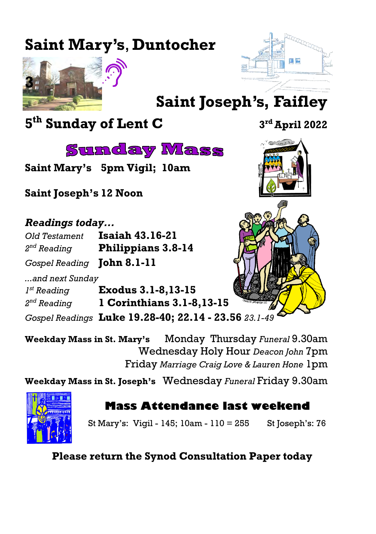# **Saint Mary's**, **Duntocher**





# **Saint Joseph's, Faifley**

**5 th Sunday of Lent C <sup>3</sup>**

**Sunday Mass** 

**Saint Mary's 5pm Vigil; 10am**

**Saint Joseph's 12 Noon**

#### *Readings today...*

| Old Testament                     | <b>Isaiah 43.16-21</b>    |  |  |
|-----------------------------------|---------------------------|--|--|
| $2^{nd}$ Reading                  | <b>Philippians 3.8-14</b> |  |  |
| Gospel Reading <b>John 8.1-11</b> |                           |  |  |

*...and next Sunday*

*1<sup>st</sup> Reading st Reading* **Exodus 3.1-8,13-15** 2<sup>nd</sup> Reading

*Gospel Readings* **Luke 19.28-40; 22.14 - 23.56** *23.1-49*

*nd Reading* **1 Corinthians 3.1-8,13-15 Weekday Mass in St. Mary's** Monday Thursday *Funeral* 9.30am Wednesday Holy Hour *Deacon John* 7pm

Friday *Marriage Craig Love & Lauren Hone* 1pm

**Weekday Mass in St. Joseph's** Wednesday *Funeral* Friday 9.30am



## **Mass Attendance last weekend**

St Mary's: Vigil - 145; 10am - 110 = 255 St Joseph's: 76

**Please return the Synod Consultation Paper today** 

**rd April 2022**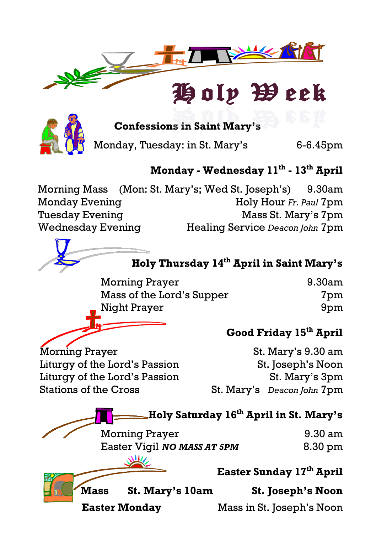

# Holp Week



**Confessions in Saint Mary's**

Monday, Tuesday: in St. Mary's 6-6.45pm

### **Monday - Wednesday 11th - 13th April**

Morning Mass (Mon: St. Mary's; Wed St. Joseph's) 9.30am Monday Evening **Holy Hour** *Fr. Paul* 7pm Tuesday Evening **Mass St. Mary's 7pm** Wednesday Evening Healing Service *Deacon John* 7pm



| Morning Prayer            | 9.30am |  |
|---------------------------|--------|--|
| Mass of the Lord's Supper | 7pm    |  |
| Night Prayer              | 9pm    |  |

#### **Good Friday 15th April**

Morning Prayer St. Mary's 9.30 am Liturgy of the Lord's Passion St. Joseph's Noon Liturgy of the Lord's Passion St. Mary's 3pm Stations of the Cross St. Mary's *Deacon John* 7pm

**Holy Saturday 16th April in St. Mary's** Morning Prayer 9.30 am Easter Vigil *NO MASS AT 5PM* 8.30 pm **Easter Sunday 17th April Mass St. Mary's 10am St. Joseph's Noon Easter Monday** Mass in St. Joseph's Noon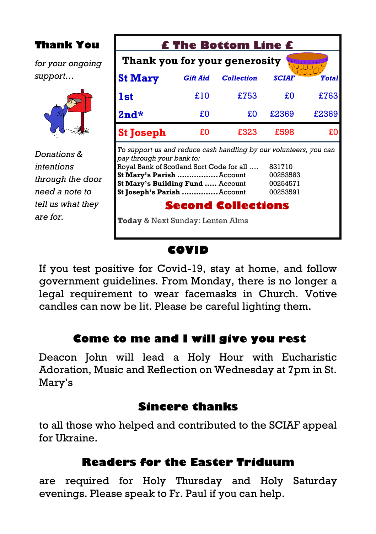| <b>Thank You</b>                                 | <b>£ The Bottom Line £</b>                                                                                                                                                                                                                                        |                 |                   |              |              |  |  |  |
|--------------------------------------------------|-------------------------------------------------------------------------------------------------------------------------------------------------------------------------------------------------------------------------------------------------------------------|-----------------|-------------------|--------------|--------------|--|--|--|
| for your ongoing                                 | Thank you for your generosity                                                                                                                                                                                                                                     |                 |                   |              |              |  |  |  |
| support                                          | <b>St Mary</b>                                                                                                                                                                                                                                                    | <b>Gift Aid</b> | <b>Collection</b> | <b>SCIAF</b> | <b>Total</b> |  |  |  |
|                                                  | lst                                                                                                                                                                                                                                                               | £10             | £753              | £O           | £763         |  |  |  |
|                                                  | $2nd*$                                                                                                                                                                                                                                                            | £O              | £O                | £2369        | £2369        |  |  |  |
|                                                  | <b>St Joseph</b>                                                                                                                                                                                                                                                  | £О              | £323              | £598         | £O           |  |  |  |
| Donations &                                      | To support us and reduce cash handling by our volunteers, you can<br>pay through your bank to:                                                                                                                                                                    |                 |                   |              |              |  |  |  |
| intentions<br>through the door<br>need a note to | Royal Bank of Scotland Sort Code for all<br>831710<br>St Mary's Parish Account<br>00253583<br>St Mary's Building Fund  Account<br>00254571<br>St Joseph's Parish  Account<br>00253591<br><b>Second Collections</b><br><b>Today &amp; Next Sunday: Lenten Alms</b> |                 |                   |              |              |  |  |  |
| tell us what they<br>are for.                    |                                                                                                                                                                                                                                                                   |                 |                   |              |              |  |  |  |

#### **COVID**

If you test positive for Covid-19, stay at home, and follow government guidelines. From Monday, there is no longer a legal requirement to wear facemasks in Church. Votive candles can now be lit. Please be careful lighting them.

#### **Come to me and I will give you rest**

Deacon John will lead a Holy Hour with Eucharistic Adoration, Music and Reflection on Wednesday at 7pm in St. Mary's

#### **Sincere thanks**

to all those who helped and contributed to the SCIAF appeal for Ukraine

#### **Readers for the Easter Triduum**

are required for Holy Thursday and Holy Saturday evenings. Please speak to Fr. Paul if you can help.